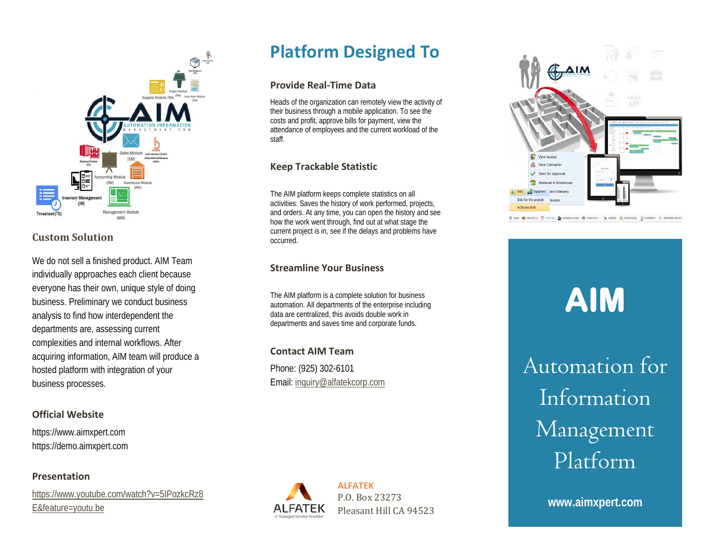

## **Custom Solution**

We do not sell a finished product. AIM Team individually approaches each client because everyone has their own, unique style of doing business. Preliminary we conduct business analysis to find how interdependent the departments are, assessing current complexities and internal workflows. After acquiring information, AIM team will produce a hosted platform with integration of your business processes.

#### **Official Website**

https://www.aimxpert.com https://demo.aimxpert.com

#### **Presentation**

[https://www.youtube.com/watch?v=5IPozkcRz8](https://www.youtube.com/watch?v=5IPozkcRz8E&feature=youtu.be) [E&feature=youtu.be](https://www.youtube.com/watch?v=5IPozkcRz8E&feature=youtu.be)

## **Platform Designed To**

#### **Provide Real-Time Data**

Heads of the organization can remotely view the activity of their business through a mobile application. To see the costs and profit, approve bills for payment, view the attendance of employees and the current workload of the staff.

## **Keep Trackable Statistic**

The AIM platform keeps complete statistics on all activities. Saves the history of work performed, projects, and orders. At any time, you can open the history and see how the work went through, find out at what stage the current project is in, see if the delays and problems have occurred.

#### **Streamline Your Business**

The AIM platform is a complete solution for business automation. All departments of the enterprise including data are centralized, this avoids double work in departments and saves time and corporate funds.

#### **Contact AIM Team**

Phone: (925) 302-6101 Email[: inquiry@alfatekcorp.com](mailto:inquiry@alfatekcorp.com)



## **ALFATEK** P.O. Box 23273 Pleasant Hill CA 94523



 **AIM**

Automation for Information Management Platform

**www.aimxpert.com**